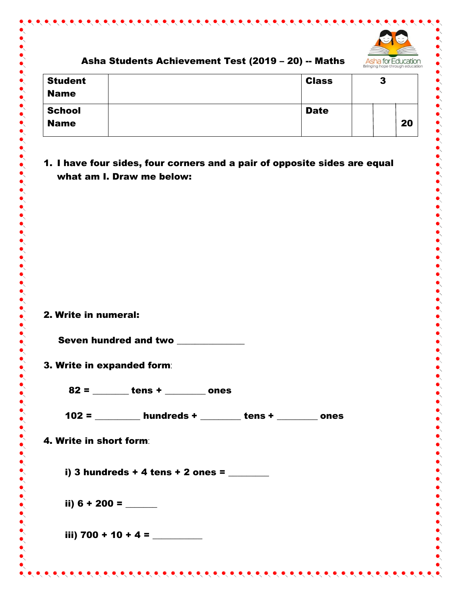

## Asha Students Achievement Test (2019 – 20) -- Maths

| <b>Student</b><br><b>Name</b> | <b>Class</b> | 3 |    |
|-------------------------------|--------------|---|----|
| <b>School</b>                 | <b>Date</b>  |   |    |
| <b>Name</b>                   |              |   | 20 |

## 1. I have four sides, four corners and a pair of opposite sides are equal what am I. Draw me below:

|  | 2. Write in numeral: |  |
|--|----------------------|--|
|  |                      |  |

Seven hundred and two

3. Write in expanded form:

 $82 =$  tens + ones

102 = \_\_\_\_\_\_\_\_\_\_ hundreds + \_\_\_\_\_\_\_\_\_ tens + \_\_\_\_\_\_\_\_\_ ones

4. Write in short form:

i) 3 hundreds + 4 tens + 2 ones =  $\frac{1}{2}$ 

ii) 6 + 200 = \_\_\_\_\_\_\_

iii) 700 + 10 + 4 =  $\frac{1}{\sqrt{1-\frac{1}{2}}}\frac{1}{\sqrt{1-\frac{1}{2}}}\frac{1}{\sqrt{1-\frac{1}{2}}}\frac{1}{\sqrt{1-\frac{1}{2}}}\frac{1}{\sqrt{1-\frac{1}{2}}}\frac{1}{\sqrt{1-\frac{1}{2}}}\frac{1}{\sqrt{1-\frac{1}{2}}}\frac{1}{\sqrt{1-\frac{1}{2}}}\frac{1}{\sqrt{1-\frac{1}{2}}}\frac{1}{\sqrt{1-\frac{1}{2}}}\frac{1}{\sqrt{1-\frac{1}{2}}}\frac{1}{\sqrt{1-\frac{1}{2}}}\frac{1}{\sqrt{$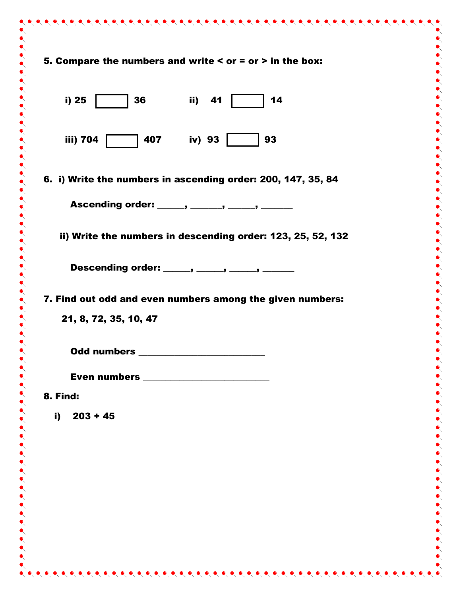| 5. Compare the numbers and write $\leq$ or $=$ or $>$ in the box:                                      |  |
|--------------------------------------------------------------------------------------------------------|--|
| 36<br>ii) 41<br>i) 25<br>14                                                                            |  |
| $\begin{array}{ c c c c c } \hline \text{407} & \text{iv} & \text{93} & \end{array}$<br>93<br>iii) 704 |  |
| 6. i) Write the numbers in ascending order: 200, 147, 35, 84                                           |  |
| Ascending order: ______, ______, ______, ______                                                        |  |
| ii) Write the numbers in descending order: 123, 25, 52, 132                                            |  |
| Descending order: _____, _____, _____, ______                                                          |  |
| 7. Find out odd and even numbers among the given numbers:                                              |  |
| 21, 8, 72, 35, 10, 47                                                                                  |  |
| Odd numbers _                                                                                          |  |
|                                                                                                        |  |
| 8. Find:                                                                                               |  |
| $203 + 45$<br>i)                                                                                       |  |
|                                                                                                        |  |
|                                                                                                        |  |
|                                                                                                        |  |
|                                                                                                        |  |
|                                                                                                        |  |
|                                                                                                        |  |
|                                                                                                        |  |
|                                                                                                        |  |

 $\bullet$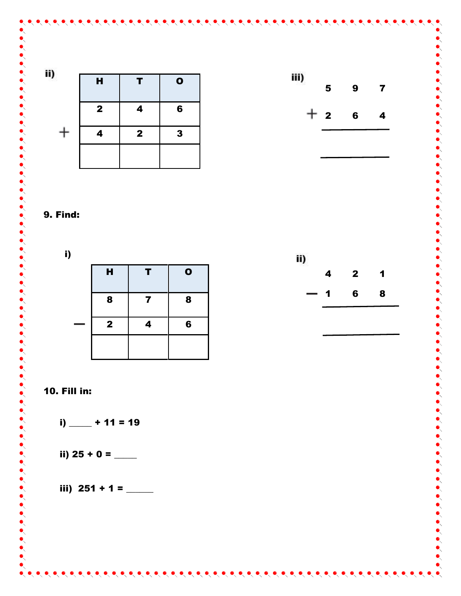







i)  $-$  + 11 = 19

ii) 25 + 0 =  $-$ 

iii)  $251 + 1 =$